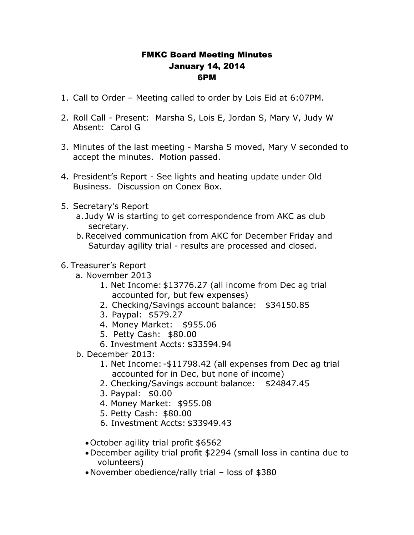## FMKC Board Meeting Minutes January 14, 2014 6PM

- 1. Call to Order Meeting called to order by Lois Eid at 6:07PM.
- 2. Roll Call Present: Marsha S, Lois E, Jordan S, Mary V, Judy W Absent: Carol G
- 3. Minutes of the last meeting Marsha S moved, Mary V seconded to accept the minutes. Motion passed.
- 4. President's Report See lights and heating update under Old Business. Discussion on Conex Box.
- 5. Secretary's Report
	- a. Judy W is starting to get correspondence from AKC as club secretary.
	- b.Received communication from AKC for December Friday and Saturday agility trial - results are processed and closed.

## 6. Treasurer's Report

- a. November 2013
	- 1. Net Income: \$13776.27 (all income from Dec ag trial accounted for, but few expenses)
	- 2. Checking/Savings account balance: \$34150.85
	- 3. Paypal: \$579.27
	- 4. Money Market: \$955.06
	- 5. Petty Cash: \$80.00
	- 6. Investment Accts: \$33594.94
- b. December 2013:
	- 1. Net Income: -\$11798.42 (all expenses from Dec ag trial accounted for in Dec, but none of income)
	- 2. Checking/Savings account balance: \$24847.45
	- 3. Paypal: \$0.00
	- 4. Money Market: \$955.08
	- 5. Petty Cash: \$80.00
	- 6. Investment Accts: \$33949.43
	- October agility trial profit \$6562
	- December agility trial profit \$2294 (small loss in cantina due to volunteers)
	- November obedience/rally trial loss of \$380